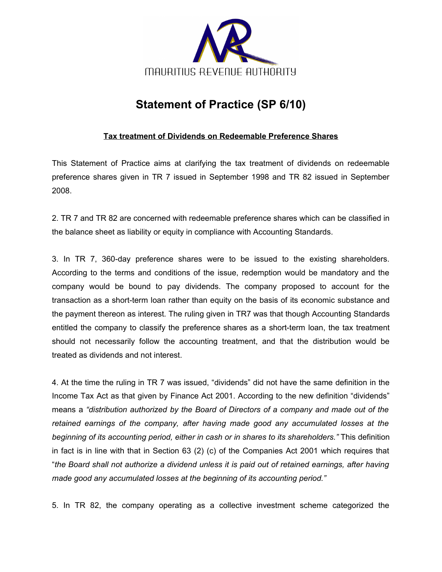

## **Statement of Practice (SP 6/10)**

## **Tax treatment of Dividends on Redeemable Preference Shares**

This Statement of Practice aims at clarifying the tax treatment of dividends on redeemable preference shares given in TR 7 issued in September 1998 and TR 82 issued in September 2008.

2. TR 7 and TR 82 are concerned with redeemable preference shares which can be classified in the balance sheet as liability or equity in compliance with Accounting Standards.

3. In TR 7, 360-day preference shares were to be issued to the existing shareholders. According to the terms and conditions of the issue, redemption would be mandatory and the company would be bound to pay dividends. The company proposed to account for the transaction as a short-term loan rather than equity on the basis of its economic substance and the payment thereon as interest. The ruling given in TR7 was that though Accounting Standards entitled the company to classify the preference shares as a short-term loan, the tax treatment should not necessarily follow the accounting treatment, and that the distribution would be treated as dividends and not interest.

4. At the time the ruling in TR 7 was issued, "dividends" did not have the same definition in the Income Tax Act as that given by Finance Act 2001. According to the new definition "dividends" means a *"distribution authorized by the Board of Directors of a company and made out of the retained earnings of the company, after having made good any accumulated losses at the beginning of its accounting period, either in cash or in shares to its shareholders."* This definition in fact is in line with that in Section 63 (2) (c) of the Companies Act 2001 which requires that "*the Board shall not authorize a dividend unless it is paid out of retained earnings, after having made good any accumulated losses at the beginning of its accounting period."*

5. In TR 82, the company operating as a collective investment scheme categorized the